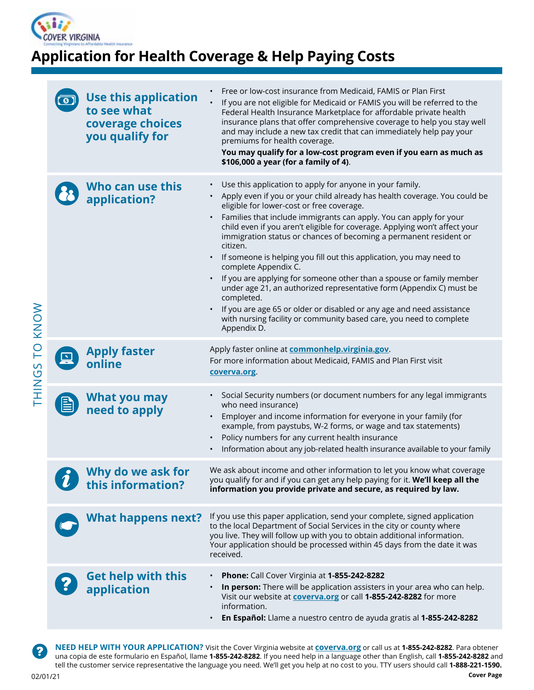

# **Application for Health Coverage & Help Paying Costs**

|   | <b>Use this application</b><br>to see what<br>coverage choices<br>you qualify for | Free or low-cost insurance from Medicaid, FAMIS or Plan First<br>If you are not eligible for Medicaid or FAMIS you will be referred to the<br>Federal Health Insurance Marketplace for affordable private health<br>insurance plans that offer comprehensive coverage to help you stay well<br>and may include a new tax credit that can immediately help pay your<br>premiums for health coverage.<br>You may qualify for a low-cost program even if you earn as much as<br>\$106,000 a year (for a family of 4).                                                                                                                                                                                                                                                                                                                                   |
|---|-----------------------------------------------------------------------------------|------------------------------------------------------------------------------------------------------------------------------------------------------------------------------------------------------------------------------------------------------------------------------------------------------------------------------------------------------------------------------------------------------------------------------------------------------------------------------------------------------------------------------------------------------------------------------------------------------------------------------------------------------------------------------------------------------------------------------------------------------------------------------------------------------------------------------------------------------|
|   | Who can use this<br>application?                                                  | Use this application to apply for anyone in your family.<br>Apply even if you or your child already has health coverage. You could be<br>eligible for lower-cost or free coverage.<br>Families that include immigrants can apply. You can apply for your<br>child even if you aren't eligible for coverage. Applying won't affect your<br>immigration status or chances of becoming a permanent resident or<br>citizen.<br>If someone is helping you fill out this application, you may need to<br>complete Appendix C.<br>If you are applying for someone other than a spouse or family member<br>under age 21, an authorized representative form (Appendix C) must be<br>completed.<br>If you are age 65 or older or disabled or any age and need assistance<br>with nursing facility or community based care, you need to complete<br>Appendix D. |
| 므 | <b>Apply faster</b><br>online                                                     | Apply faster online at <b>commonhelp.virginia.gov</b> .<br>For more information about Medicaid, FAMIS and Plan First visit<br>coverva.org.                                                                                                                                                                                                                                                                                                                                                                                                                                                                                                                                                                                                                                                                                                           |
|   | <b>What you may</b><br>need to apply                                              | Social Security numbers (or document numbers for any legal immigrants<br>who need insurance)<br>Employer and income information for everyone in your family (for<br>example, from paystubs, W-2 forms, or wage and tax statements)<br>Policy numbers for any current health insurance<br>Information about any job-related health insurance available to your family<br>$\bullet$                                                                                                                                                                                                                                                                                                                                                                                                                                                                    |
|   | Why do we ask for<br>this information?                                            | We ask about income and other information to let you know what coverage<br>you qualify for and if you can get any help paying for it. We'll keep all the<br>information you provide private and secure, as required by law.                                                                                                                                                                                                                                                                                                                                                                                                                                                                                                                                                                                                                          |
|   | <b>What happens next?</b>                                                         | If you use this paper application, send your complete, signed application<br>to the local Department of Social Services in the city or county where<br>you live. They will follow up with you to obtain additional information.<br>Your application should be processed within 45 days from the date it was<br>received.                                                                                                                                                                                                                                                                                                                                                                                                                                                                                                                             |
|   | <b>Get help with this</b><br>application                                          | Phone: Call Cover Virginia at 1-855-242-8282<br>In person: There will be application assisters in your area who can help.<br>Visit our website at <b>coverva.org</b> or call 1-855-242-8282 for more<br>information.<br>En Español: Llame a nuestro centro de ayuda gratis al 1-855-242-8282                                                                                                                                                                                                                                                                                                                                                                                                                                                                                                                                                         |
|   |                                                                                   |                                                                                                                                                                                                                                                                                                                                                                                                                                                                                                                                                                                                                                                                                                                                                                                                                                                      |

**NEED HELP WITH YOUR APPLICATION?** Visit the Cover Virginia website at **coverva.org** or call us at **1-855-242-8282**. Para obtener una copia de este formulario en Español, llame **1-855-242-8282**. If you need help in a language other than English, call **1-855-242-8282** and tell the customer service representative the language you need. We'll get you help at no cost to you. TTY users should call **1-888-221-1590.** 

?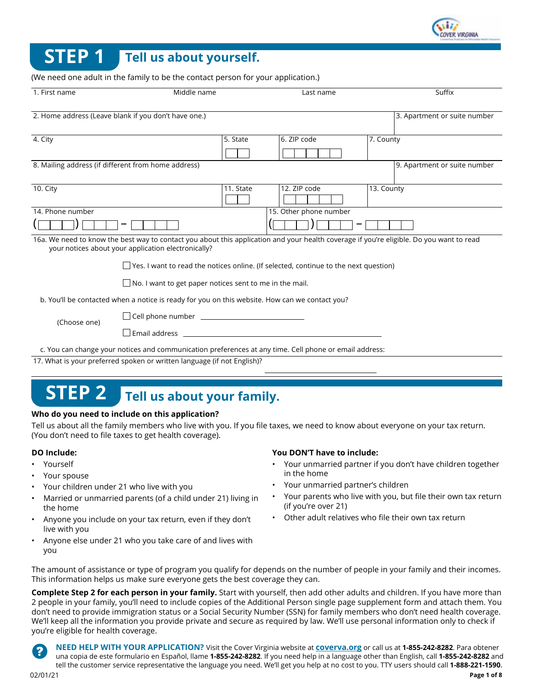

# **STEP 1 Tell us about yourself.**

(We need one adult in the family to be the contact person for your application.)

| 1. First name    | Middle name                                                                                                                                                                                                                    |           | Last name              |            | Suffix                       |
|------------------|--------------------------------------------------------------------------------------------------------------------------------------------------------------------------------------------------------------------------------|-----------|------------------------|------------|------------------------------|
|                  | 2. Home address (Leave blank if you don't have one.)                                                                                                                                                                           |           |                        |            | 3. Apartment or suite number |
| 4. City          |                                                                                                                                                                                                                                | 5. State  | 6. ZIP code            | 7. County  |                              |
|                  | 8. Mailing address (if different from home address)                                                                                                                                                                            |           |                        |            | 9. Apartment or suite number |
| 10. City         |                                                                                                                                                                                                                                | 11. State | 12. ZIP code           | 13. County |                              |
| 14. Phone number |                                                                                                                                                                                                                                |           | 15. Other phone number |            |                              |
|                  |                                                                                                                                                                                                                                |           |                        |            |                              |
|                  | 16a. We need to know the best way to contact you about this application and your health coverage if you're eligible. Do you want to read<br>your notices about your application electronically?                                |           |                        |            |                              |
|                  | Yes. I want to read the notices online. (If selected, continue to the next question)                                                                                                                                           |           |                        |            |                              |
|                  | $\Box$ No. I want to get paper notices sent to me in the mail.                                                                                                                                                                 |           |                        |            |                              |
|                  | b. You'll be contacted when a notice is ready for you on this website. How can we contact you?                                                                                                                                 |           |                        |            |                              |
| (Choose one)     |                                                                                                                                                                                                                                |           |                        |            |                              |
|                  | Email address and the contract of the contract of the contract of the contract of the contract of the contract of the contract of the contract of the contract of the contract of the contract of the contract of the contract |           |                        |            |                              |
|                  | c. You can change your notices and communication preferences at any time. Cell phone or email address:                                                                                                                         |           |                        |            |                              |
|                  | 17. What is your preferred spoken or written language (if not English)?                                                                                                                                                        |           |                        |            |                              |

# **STEP 2 Tell us about your family.**

#### **Who do you need to include on this application?**

Tell us about all the family members who live with you. If you file taxes, we need to know about everyone on your tax return. (You don't need to file taxes to get health coverage).

#### **DO Include:**

- Yourself
- Your spouse
- Your children under 21 who live with you
- Married or unmarried parents (of a child under 21) living in the home
- Anyone you include on your tax return, even if they don't live with you
- Anyone else under 21 who you take care of and lives with you

#### **You DON'T have to include:**

- Your unmarried partner if you don't have children together in the home
- Your unmarried partner's children
- Your parents who live with you, but file their own tax return (if you're over 21)
- Other adult relatives who file their own tax return

The amount of assistance or type of program you qualify for depends on the number of people in your family and their incomes. This information helps us make sure everyone gets the best coverage they can.

**Complete Step 2 for each person in your family.** Start with yourself, then add other adults and children. If you have more than 2 people in your family, you'll need to include copies of the Additional Person single page supplement form and attach them. You don't need to provide immigration status or a Social Security Number (SSN) for family members who don't need health coverage. We'll keep all the information you provide private and secure as required by law. We'll use personal information only to check if you're eligible for health coverage.

**NEED HELP WITH YOUR APPLICATION?** Visit the Cover Virginia website at **coverva.org** or call us at **1-855-242-8282**. Para obtener una copia de este formulario en Español, llame **1-855-242-8282**. If you need help in a language other than English, call **1-855-242-8282** and tell the customer service representative the language you need. We'll get you help at no cost to you. TTY users should call **1-888-221-1590.**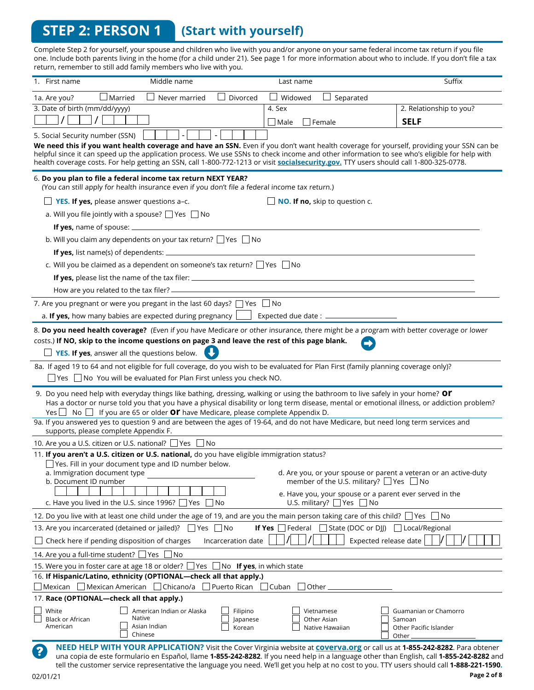## **STEP 2: PERSON 1 (Start with yourself)**

Complete Step 2 for yourself, your spouse and children who live with you and/or anyone on your same federal income tax return if you file one. Include both parents living in the home (for a child under 21). See page 1 for more information about who to include. If you don't file a tax return, remember to still add family members who live with you.

| 1. First name                                         | Middle name                                                                                                                                                                                                                                                                                                                                                                                                                        | Last name                                                                                      | Suffix                                                           |
|-------------------------------------------------------|------------------------------------------------------------------------------------------------------------------------------------------------------------------------------------------------------------------------------------------------------------------------------------------------------------------------------------------------------------------------------------------------------------------------------------|------------------------------------------------------------------------------------------------|------------------------------------------------------------------|
| 1a. Are you?                                          | $\operatorname{\mathsf{I}}$ Married<br>Divorced<br>Never married                                                                                                                                                                                                                                                                                                                                                                   | Widowed<br>Separated                                                                           |                                                                  |
| 3. Date of birth (mm/dd/yyyy)                         |                                                                                                                                                                                                                                                                                                                                                                                                                                    | 4. Sex                                                                                         | 2. Relationship to you?                                          |
|                                                       |                                                                                                                                                                                                                                                                                                                                                                                                                                    | Female<br>$\Box$ Male                                                                          | <b>SELF</b>                                                      |
| 5. Social Security number (SSN)                       |                                                                                                                                                                                                                                                                                                                                                                                                                                    |                                                                                                |                                                                  |
|                                                       | We need this if you want health coverage and have an SSN. Even if you don't want health coverage for yourself, providing your SSN can be<br>helpful since it can speed up the application process. We use SSNs to check income and other information to see who's eligible for help with<br>health coverage costs. For help getting an SSN, call 1-800-772-1213 or visit socialsecurity.gov. TTY users should call 1-800-325-0778. |                                                                                                |                                                                  |
|                                                       | 6. Do you plan to file a federal income tax return NEXT YEAR?<br>(You can still apply for health insurance even if you don't file a federal income tax return.)                                                                                                                                                                                                                                                                    |                                                                                                |                                                                  |
|                                                       | YES. If yes, please answer questions a-c.                                                                                                                                                                                                                                                                                                                                                                                          | NO. If no, skip to question c.                                                                 |                                                                  |
|                                                       | a. Will you file jointly with a spouse? $\Box$ Yes $\Box$ No                                                                                                                                                                                                                                                                                                                                                                       |                                                                                                |                                                                  |
|                                                       |                                                                                                                                                                                                                                                                                                                                                                                                                                    |                                                                                                |                                                                  |
|                                                       | b. Will you claim any dependents on your tax return? Ves No                                                                                                                                                                                                                                                                                                                                                                        |                                                                                                |                                                                  |
| If yes, list name(s) of dependents: _                 |                                                                                                                                                                                                                                                                                                                                                                                                                                    |                                                                                                |                                                                  |
|                                                       | c. Will you be claimed as a dependent on someone's tax return? □ Yes □ No                                                                                                                                                                                                                                                                                                                                                          |                                                                                                |                                                                  |
|                                                       |                                                                                                                                                                                                                                                                                                                                                                                                                                    |                                                                                                |                                                                  |
|                                                       | How are you related to the tax filer? ______________                                                                                                                                                                                                                                                                                                                                                                               |                                                                                                |                                                                  |
|                                                       | 7. Are you pregnant or were you pregant in the last 60 days? $\Box$ Yes $\Box$ No                                                                                                                                                                                                                                                                                                                                                  |                                                                                                |                                                                  |
|                                                       | a. If yes, how many babies are expected during pregnancy [                                                                                                                                                                                                                                                                                                                                                                         | Expected due date: _                                                                           |                                                                  |
|                                                       | 8. Do you need health coverage? (Even if you have Medicare or other insurance, there might be a program with better coverage or lower<br>costs.) If NO, skip to the income questions on page 3 and leave the rest of this page blank.<br>YES. If yes, answer all the questions below.                                                                                                                                              |                                                                                                |                                                                  |
|                                                       | 8a. If aged 19 to 64 and not eligible for full coverage, do you wish to be evaluated for Plan First (family planning coverage only)?                                                                                                                                                                                                                                                                                               |                                                                                                |                                                                  |
|                                                       | $\Box$ Yes $\Box$ No You will be evaluated for Plan First unless you check NO.                                                                                                                                                                                                                                                                                                                                                     |                                                                                                |                                                                  |
|                                                       | 9. Do you need help with everyday things like bathing, dressing, walking or using the bathroom to live safely in your home? Or<br>Has a doctor or nurse told you that you have a physical disability or long term disease, mental or emotional illness, or addiction problem?<br>Yes $\Box$ No $\Box$ If you are 65 or older <b>Or</b> have Medicare, please complete Appendix D.                                                  |                                                                                                |                                                                  |
| supports, please complete Appendix F.                 | 9a. If you answered yes to question 9 and are between the ages of 19-64, and do not have Medicare, but need long term services and                                                                                                                                                                                                                                                                                                 |                                                                                                |                                                                  |
|                                                       | 10. Are you a U.S. citizen or U.S. national? □ Yes □ No                                                                                                                                                                                                                                                                                                                                                                            |                                                                                                |                                                                  |
|                                                       | 11. If you aren't a U.S. citizen or U.S. national, do you have eligible immigration status?                                                                                                                                                                                                                                                                                                                                        |                                                                                                |                                                                  |
| a. Immigration document type<br>b. Document ID number | □ Yes. Fill in your document type and ID number below.                                                                                                                                                                                                                                                                                                                                                                             | member of the U.S. military? $\Box$ Yes $\Box$ No                                              | d. Are you, or your spouse or parent a veteran or an active-duty |
|                                                       | c. Have you lived in the U.S. since 1996? $\Box$ Yes<br>l INo                                                                                                                                                                                                                                                                                                                                                                      | e. Have you, your spouse or a parent ever served in the<br>U.S. military? $\Box$ Yes $\Box$ No |                                                                  |
|                                                       | 12. Do you live with at least one child under the age of 19, and are you the main person taking care of this child? $\Box$ Yes $\Box$ No                                                                                                                                                                                                                                                                                           |                                                                                                |                                                                  |
|                                                       | 13. Are you incarcerated (detained or jailed)? $\Box$ Yes $\Box$ No                                                                                                                                                                                                                                                                                                                                                                | $\Box$ State (DOC or DJJ)<br>If Yes $\Box$ Federal                                             | $\Box$ Local/Regional                                            |
| $\Box$ Check here if pending disposition of charges   | Incarceration date                                                                                                                                                                                                                                                                                                                                                                                                                 |                                                                                                | Expected release date                                            |
| 14. Are you a full-time student? If Yes               | No                                                                                                                                                                                                                                                                                                                                                                                                                                 |                                                                                                |                                                                  |
|                                                       | 15. Were you in foster care at age 18 or older? $\Box$ Yes $\Box$ No If yes, in which state                                                                                                                                                                                                                                                                                                                                        |                                                                                                |                                                                  |
|                                                       | 16. If Hispanic/Latino, ethnicity (OPTIONAL-check all that apply.)                                                                                                                                                                                                                                                                                                                                                                 |                                                                                                |                                                                  |
|                                                       | $\Box$ Mexican $\Box$ Mexican American $\Box$ Chicano/a $\Box$ Puerto Rican $\Box$ Cuban $\Box$ Other .                                                                                                                                                                                                                                                                                                                            |                                                                                                |                                                                  |
| 17. Race (OPTIONAL-check all that apply.)             |                                                                                                                                                                                                                                                                                                                                                                                                                                    |                                                                                                |                                                                  |
| White<br>Black or African                             | American Indian or Alaska<br>Filipino<br>Native<br>Japanese                                                                                                                                                                                                                                                                                                                                                                        | Vietnamese<br>Other Asian                                                                      | Guamanian or Chamorro<br>Samoan                                  |
| American                                              | Asian Indian<br>Korean<br>Chinese                                                                                                                                                                                                                                                                                                                                                                                                  | Native Hawaiian                                                                                | Other Pacific Islander<br>Other                                  |
|                                                       | NEED HELP WITH YOUR APPLICATION? Visit the Cover Virginia website at coverva.org or call us at 1-855-242-8282. Para obtener<br>una copia de este formulario en Español, llame 1-855-242-8282. If you need help in a language other than English, call 1-855-242-8282 and<br>tell the customer service representative the language you need. We'll get you help at no cost to you. TTY users should call 1-888-221-1590.            |                                                                                                |                                                                  |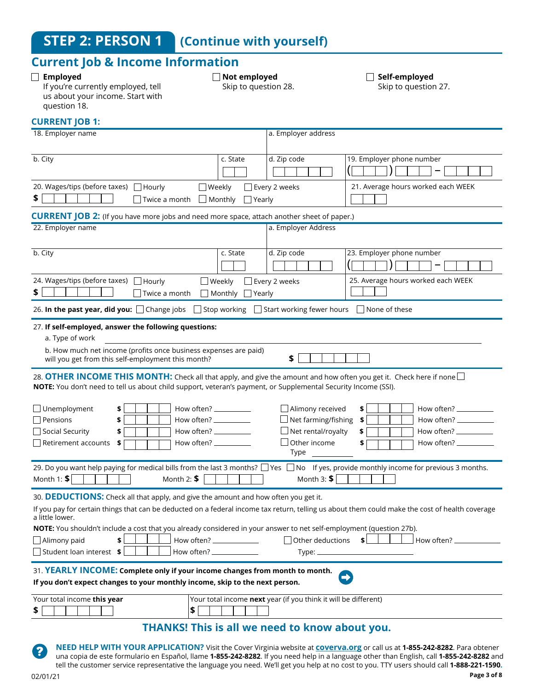## **Current Job & Income Information**

#### **Employed**

#### **Not employed**

Skip to question 28.

**Self-employed** 

If you're currently employed, tell us about your income. Start with question 18..

Skip to question 27.

#### **CURRENT JOB 1:**

| 18. Employer name                                                                                                                                                                                                                                                                                                                                                                                                                                                      |                                          | a. Employer address                                                                                           |                                                                                                                 |
|------------------------------------------------------------------------------------------------------------------------------------------------------------------------------------------------------------------------------------------------------------------------------------------------------------------------------------------------------------------------------------------------------------------------------------------------------------------------|------------------------------------------|---------------------------------------------------------------------------------------------------------------|-----------------------------------------------------------------------------------------------------------------|
| b. City                                                                                                                                                                                                                                                                                                                                                                                                                                                                | c. State                                 | d. Zip code                                                                                                   | 19. Employer phone number                                                                                       |
| 20. Wages/tips (before taxes) □ Hourly<br>□ Weekly<br>\$<br>$\exists$ Twice a month $\Box$ Monthly                                                                                                                                                                                                                                                                                                                                                                     | $\Box$ Yearly                            | Every 2 weeks                                                                                                 | 21. Average hours worked each WEEK                                                                              |
| <b>CURRENT JOB 2:</b> (If you have more jobs and need more space, attach another sheet of paper.)                                                                                                                                                                                                                                                                                                                                                                      |                                          |                                                                                                               |                                                                                                                 |
| 22. Employer name                                                                                                                                                                                                                                                                                                                                                                                                                                                      |                                          | a. Employer Address                                                                                           |                                                                                                                 |
| b. City                                                                                                                                                                                                                                                                                                                                                                                                                                                                | c. State                                 | d. Zip code                                                                                                   | 23. Employer phone number                                                                                       |
| 24. Wages/tips (before taxes) □ Hourly<br>\$<br>Twice a month                                                                                                                                                                                                                                                                                                                                                                                                          | □ Weekly<br>$\Box$ Monthly $\Box$ Yearly | Every 2 weeks                                                                                                 | 25. Average hours worked each WEEK                                                                              |
| 26. In the past year, did you: □ Change jobs □ Stop working □ Start working fewer hours □ None of these                                                                                                                                                                                                                                                                                                                                                                |                                          |                                                                                                               |                                                                                                                 |
| 27. If self-employed, answer the following questions:<br>a. Type of work<br>b. How much net income (profits once business expenses are paid)<br>will you get from this self-employment this month?                                                                                                                                                                                                                                                                     |                                          | \$                                                                                                            |                                                                                                                 |
| 28. OTHER INCOME THIS MONTH: Check all that apply, and give the amount and how often you get it. Check here if none $\Box$<br>NOTE: You don't need to tell us about child support, veteran's payment, or Supplemental Security Income (SSI).<br>$\Box$ Unemployment<br>How often? ___________<br>\$<br>$\Box$ Pensions<br>How often? ___________<br>\$<br>$\Box$ Social Security<br>How often? ___________<br>\$<br>Retirement accounts<br>\$<br>How often? $\_\_$     |                                          | $\Box$ Alimony received<br>Net farming/fishing<br>$\Box$ Net rental/royalty<br>$\exists$ Other income<br>Type | \$<br>How often? __________<br>\$<br>\$<br>How often? ____________<br>How often? $\frac{1}{2}$ How often?<br>\$ |
| 29. Do you want help paying for medical bills from the last 3 months? □ Yes □ No If yes, provide monthly income for previous 3 months.<br>Month 1: $$$<br>Month 2: $$$                                                                                                                                                                                                                                                                                                 |                                          | Month 3: $$$                                                                                                  |                                                                                                                 |
| 30. DEDUCTIONS: Check all that apply, and give the amount and how often you get it.<br>If you pay for certain things that can be deducted on a federal income tax return, telling us about them could make the cost of health coverage<br>a little lower.<br>NOTE: You shouldn't include a cost that you already considered in your answer to net self-employment (question 27b).<br>How often? _____________<br>Alimony paid<br>\$<br>$\Box$ Student loan interest \$ |                                          | $\Box$ Other deductions                                                                                       | \$<br>How often?                                                                                                |
| 31. YEARLY INCOME: Complete only if your income changes from month to month.<br>If you don't expect changes to your monthly income, skip to the next person.                                                                                                                                                                                                                                                                                                           |                                          |                                                                                                               |                                                                                                                 |
| Your total income this year<br>\$<br>\$                                                                                                                                                                                                                                                                                                                                                                                                                                |                                          | Your total income next year (if you think it will be different)                                               |                                                                                                                 |
|                                                                                                                                                                                                                                                                                                                                                                                                                                                                        |                                          | THANKS! This is all we need to know about you.                                                                |                                                                                                                 |

**NEED HELP WITH YOUR APPLICATION?** Visit the Cover Virginia website at **coverva.org** or call us at **1-855-242-8282**. Para obtener una copia de este formulario en Español, llame **1-855-242-8282**. If you need help in a language other than English, call **1-855-242-8282** and tell the customer service representative the language you need. We'll get you help at no cost to you. TTY users should call **1-888-221-1590.**

 $\overline{\mathbf{?}}$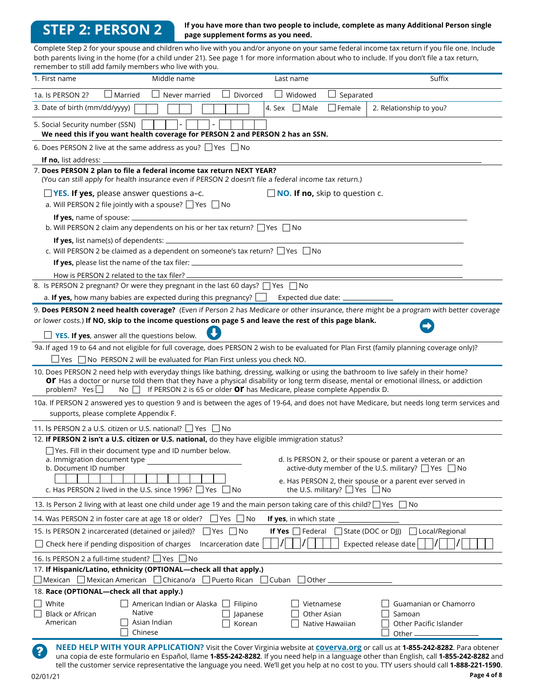## **STEP 2: PERSON 2**

#### **If you have more than two people to include, complete as many Additional Person single page supplement forms as you need.**

Complete Step 2 for your spouse and children who live with you and/or anyone on your same federal income tax return if you file one. Include both parents living in the home (for a child under 21). See page 1 for more information about who to include. If you don't file a tax return, remember to still add family members who live with you.

| 1. First name                                         | Middle name                                                                                                                                                                                                                                                                                                                                                                 | Last name                             |                                         | Suffix                                                                                                                                                                                                                                                                                                                                                                                                                  |
|-------------------------------------------------------|-----------------------------------------------------------------------------------------------------------------------------------------------------------------------------------------------------------------------------------------------------------------------------------------------------------------------------------------------------------------------------|---------------------------------------|-----------------------------------------|-------------------------------------------------------------------------------------------------------------------------------------------------------------------------------------------------------------------------------------------------------------------------------------------------------------------------------------------------------------------------------------------------------------------------|
| 1a. Is PERSON 2?                                      | $\Box$ Married<br>Never married                                                                                                                                                                                                                                                                                                                                             | Divorced<br>U Widowed                 | Separated<br>$\Box$                     |                                                                                                                                                                                                                                                                                                                                                                                                                         |
| 3. Date of birth (mm/dd/yyyy)                         |                                                                                                                                                                                                                                                                                                                                                                             | 4. Sex Male                           | Female                                  | 2. Relationship to you?                                                                                                                                                                                                                                                                                                                                                                                                 |
| 5. Social Security number (SSN)                       | We need this if you want health coverage for PERSON 2 and PERSON 2 has an SSN.                                                                                                                                                                                                                                                                                              |                                       |                                         |                                                                                                                                                                                                                                                                                                                                                                                                                         |
|                                                       | 6. Does PERSON 2 live at the same address as you? $\Box$ Yes $\Box$ No                                                                                                                                                                                                                                                                                                      |                                       |                                         |                                                                                                                                                                                                                                                                                                                                                                                                                         |
| <b>If no.</b> list address: $\overline{\phantom{a}}$  |                                                                                                                                                                                                                                                                                                                                                                             |                                       |                                         |                                                                                                                                                                                                                                                                                                                                                                                                                         |
|                                                       | 7. Does PERSON 2 plan to file a federal income tax return NEXT YEAR?<br>(You can still apply for health insurance even if PERSON 2 doesn't file a federal income tax return.)                                                                                                                                                                                               |                                       |                                         |                                                                                                                                                                                                                                                                                                                                                                                                                         |
|                                                       | <b>T</b> YES. If yes, please answer questions a-c.                                                                                                                                                                                                                                                                                                                          | $\Box$ NO. If no, skip to question c. |                                         |                                                                                                                                                                                                                                                                                                                                                                                                                         |
|                                                       | a. Will PERSON 2 file jointly with a spouse? $\Box$ Yes $\Box$ No                                                                                                                                                                                                                                                                                                           |                                       |                                         |                                                                                                                                                                                                                                                                                                                                                                                                                         |
| If yes, name of spouse: _                             |                                                                                                                                                                                                                                                                                                                                                                             |                                       |                                         |                                                                                                                                                                                                                                                                                                                                                                                                                         |
|                                                       | b. Will PERSON 2 claim any dependents on his or her tax return? □ Yes □ No                                                                                                                                                                                                                                                                                                  |                                       |                                         |                                                                                                                                                                                                                                                                                                                                                                                                                         |
| If yes, list name(s) of dependents:                   | c. Will PERSON 2 be claimed as a dependent on someone's tax return? $\Box$ Yes $\Box$ No                                                                                                                                                                                                                                                                                    |                                       |                                         |                                                                                                                                                                                                                                                                                                                                                                                                                         |
|                                                       | <b>If yes,</b> please list the name of the tax filer: _________________________________                                                                                                                                                                                                                                                                                     |                                       |                                         |                                                                                                                                                                                                                                                                                                                                                                                                                         |
|                                                       | How is PERSON 2 related to the tax filer? _                                                                                                                                                                                                                                                                                                                                 |                                       |                                         |                                                                                                                                                                                                                                                                                                                                                                                                                         |
|                                                       | 8. Is PERSON 2 pregnant? Or were they pregnant in the last 60 days? $\Box$ Yes $\Box$ No                                                                                                                                                                                                                                                                                    |                                       |                                         |                                                                                                                                                                                                                                                                                                                                                                                                                         |
|                                                       | a. If yes, how many babies are expected during this pregnancy? $\Box$                                                                                                                                                                                                                                                                                                       | Expected due date: _                  |                                         |                                                                                                                                                                                                                                                                                                                                                                                                                         |
|                                                       |                                                                                                                                                                                                                                                                                                                                                                             |                                       |                                         | 9. Does PERSON 2 need health coverage? (Even if Person 2 has Medicare or other insurance, there might be a program with better coverage                                                                                                                                                                                                                                                                                 |
|                                                       | or lower costs.) If NO, skip to the income questions on page 5 and leave the rest of this page blank.                                                                                                                                                                                                                                                                       |                                       |                                         |                                                                                                                                                                                                                                                                                                                                                                                                                         |
|                                                       | $\Box$ YES. If yes, answer all the questions below.                                                                                                                                                                                                                                                                                                                         |                                       |                                         |                                                                                                                                                                                                                                                                                                                                                                                                                         |
|                                                       | 9a. If aged 19 to 64 and not eligible for full coverage, does PERSON 2 wish to be evaluated for Plan First (family planning coverage only)?                                                                                                                                                                                                                                 |                                       |                                         |                                                                                                                                                                                                                                                                                                                                                                                                                         |
|                                                       | $\Box$ Yes $\Box$ No PERSON 2 will be evaluated for Plan First unless you check NO.                                                                                                                                                                                                                                                                                         |                                       |                                         |                                                                                                                                                                                                                                                                                                                                                                                                                         |
| problem? Yes $\Box$                                   | 10. Does PERSON 2 need help with everyday things like bathing, dressing, walking or using the bathroom to live safely in their home?<br>Of Has a doctor or nurse told them that they have a physical disability or long term disease, mental or emotional illness, or addiction<br>No $\Box$ If PERSON 2 is 65 or older <b>OP</b> has Medicare, please complete Appendix D. |                                       |                                         |                                                                                                                                                                                                                                                                                                                                                                                                                         |
| supports, please complete Appendix F.                 |                                                                                                                                                                                                                                                                                                                                                                             |                                       |                                         | 10a. If PERSON 2 answered yes to question 9 and is between the ages of 19-64, and does not have Medicare, but needs long term services and                                                                                                                                                                                                                                                                              |
|                                                       | 11. Is PERSON 2 a U.S. citizen or U.S. national? $\Box$ Yes $\Box$ No                                                                                                                                                                                                                                                                                                       |                                       |                                         |                                                                                                                                                                                                                                                                                                                                                                                                                         |
|                                                       | 12. If PERSON 2 isn't a U.S. citizen or U.S. national, do they have eligible immigration status?                                                                                                                                                                                                                                                                            |                                       |                                         |                                                                                                                                                                                                                                                                                                                                                                                                                         |
| a. Immigration document type<br>b. Document ID number | Yes. Fill in their document type and ID number below.                                                                                                                                                                                                                                                                                                                       |                                       |                                         | d. Is PERSON 2, or their spouse or parent a veteran or an<br>active-duty member of the U.S. military? $\Box$ Yes $\Box$ No<br>e. Has PERSON 2, their spouse or a parent ever served in                                                                                                                                                                                                                                  |
|                                                       | c. Has PERSON 2 lived in the U.S. since 1996? □ Yes<br>l No                                                                                                                                                                                                                                                                                                                 |                                       | the U.S. military? $\Box$ Yes $\Box$ No |                                                                                                                                                                                                                                                                                                                                                                                                                         |
|                                                       | 13. Is Person 2 living with at least one child under age 19 and the main person taking care of this child? $\Box$ Yes $\Box$ No                                                                                                                                                                                                                                             |                                       |                                         |                                                                                                                                                                                                                                                                                                                                                                                                                         |
|                                                       | $\Box$ Yes $\Box$ No<br>14. Was PERSON 2 in foster care at age 18 or older?                                                                                                                                                                                                                                                                                                 | If yes, in which state                |                                         |                                                                                                                                                                                                                                                                                                                                                                                                                         |
| 15. Is PERSON 2 incarcerated (detained or jailed)?    | $\Box$ Yes $\Box$ No                                                                                                                                                                                                                                                                                                                                                        | <b>If Yes</b> $\vert$ Federal         |                                         | State (DOC or DJJ)<br>□ Local/Regional                                                                                                                                                                                                                                                                                                                                                                                  |
| $\Box$ Check here if pending disposition of charges   | Incarceration date                                                                                                                                                                                                                                                                                                                                                          |                                       |                                         | Expected release date                                                                                                                                                                                                                                                                                                                                                                                                   |
| 16. Is PERSON 2 a full-time student? Ves No           |                                                                                                                                                                                                                                                                                                                                                                             |                                       |                                         |                                                                                                                                                                                                                                                                                                                                                                                                                         |
|                                                       | 17. If Hispanic/Latino, ethnicity (OPTIONAL-check all that apply.)                                                                                                                                                                                                                                                                                                          |                                       |                                         |                                                                                                                                                                                                                                                                                                                                                                                                                         |
|                                                       | Mexican Mexican American Chicano/a Puerto Rican Cuban                                                                                                                                                                                                                                                                                                                       | Other                                 |                                         |                                                                                                                                                                                                                                                                                                                                                                                                                         |
| 18. Race (OPTIONAL-check all that apply.)             |                                                                                                                                                                                                                                                                                                                                                                             |                                       |                                         |                                                                                                                                                                                                                                                                                                                                                                                                                         |
| White<br><b>Black or African</b>                      | American Indian or Alaska<br>Native                                                                                                                                                                                                                                                                                                                                         | Filipino<br>Japanese                  | Vietnamese<br>Other Asian               | Guamanian or Chamorro<br>Samoan                                                                                                                                                                                                                                                                                                                                                                                         |
| American                                              | Asian Indian                                                                                                                                                                                                                                                                                                                                                                | Korean                                | Native Hawaiian                         | Other Pacific Islander                                                                                                                                                                                                                                                                                                                                                                                                  |
|                                                       | Chinese                                                                                                                                                                                                                                                                                                                                                                     |                                       |                                         | Other                                                                                                                                                                                                                                                                                                                                                                                                                   |
| 2                                                     |                                                                                                                                                                                                                                                                                                                                                                             |                                       |                                         | NEED HELP WITH YOUR APPLICATION? Visit the Cover Virginia website at coverva.org or call us at 1-855-242-8282. Para obtener<br>una copia de este formulario en Español, llame 1-855-242-8282. If you need help in a language other than English, call 1-855-242-8282 and<br>tell the customer service representative the language you need. We'll get you help at no cost to you. TTY users should call 1-888-221-1590. |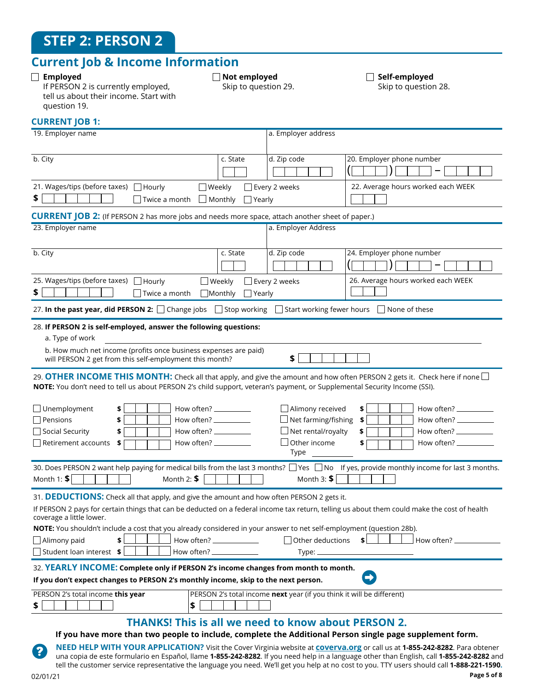## **Current Job & Income Information**

#### **Employed**

**Not employed** 

Skip to question 29.

**Self-employed**  Skip to question 28.

If PERSON 2 is currently employed, tell us about their income. Start with question 19..

### **CURRENT JOB 1:**

| 19. Employer name                                                                                                                                                                                                                                                                                                                                                                                                                                                                                                                                                                                                                                                                                                                                                                                                                                                                                                                 | a. Employer address                                                                                                               |                                                                                                                                             |
|-----------------------------------------------------------------------------------------------------------------------------------------------------------------------------------------------------------------------------------------------------------------------------------------------------------------------------------------------------------------------------------------------------------------------------------------------------------------------------------------------------------------------------------------------------------------------------------------------------------------------------------------------------------------------------------------------------------------------------------------------------------------------------------------------------------------------------------------------------------------------------------------------------------------------------------|-----------------------------------------------------------------------------------------------------------------------------------|---------------------------------------------------------------------------------------------------------------------------------------------|
| b. City<br>c. State                                                                                                                                                                                                                                                                                                                                                                                                                                                                                                                                                                                                                                                                                                                                                                                                                                                                                                               | d. Zip code                                                                                                                       | 20. Employer phone number                                                                                                                   |
|                                                                                                                                                                                                                                                                                                                                                                                                                                                                                                                                                                                                                                                                                                                                                                                                                                                                                                                                   |                                                                                                                                   |                                                                                                                                             |
| 21. Wages/tips (before taxes) □ Hourly<br>□ Weekly                                                                                                                                                                                                                                                                                                                                                                                                                                                                                                                                                                                                                                                                                                                                                                                                                                                                                | Every 2 weeks                                                                                                                     | 22. Average hours worked each WEEK                                                                                                          |
| \$<br>$\Box$ Monthly<br>Twice a month                                                                                                                                                                                                                                                                                                                                                                                                                                                                                                                                                                                                                                                                                                                                                                                                                                                                                             | $\Box$ Yearly                                                                                                                     |                                                                                                                                             |
| <b>CURRENT JOB 2:</b> (If PERSON 2 has more jobs and needs more space, attach another sheet of paper.)                                                                                                                                                                                                                                                                                                                                                                                                                                                                                                                                                                                                                                                                                                                                                                                                                            |                                                                                                                                   |                                                                                                                                             |
| 23. Employer name                                                                                                                                                                                                                                                                                                                                                                                                                                                                                                                                                                                                                                                                                                                                                                                                                                                                                                                 | a. Employer Address                                                                                                               |                                                                                                                                             |
|                                                                                                                                                                                                                                                                                                                                                                                                                                                                                                                                                                                                                                                                                                                                                                                                                                                                                                                                   |                                                                                                                                   |                                                                                                                                             |
| b. City<br>c. State                                                                                                                                                                                                                                                                                                                                                                                                                                                                                                                                                                                                                                                                                                                                                                                                                                                                                                               | d. Zip code                                                                                                                       | 24. Employer phone number                                                                                                                   |
|                                                                                                                                                                                                                                                                                                                                                                                                                                                                                                                                                                                                                                                                                                                                                                                                                                                                                                                                   |                                                                                                                                   |                                                                                                                                             |
| 25. Wages/tips (before taxes) □ Hourly<br>$\Box$ Weekly                                                                                                                                                                                                                                                                                                                                                                                                                                                                                                                                                                                                                                                                                                                                                                                                                                                                           | Every 2 weeks                                                                                                                     | 26. Average hours worked each WEEK                                                                                                          |
| \$<br>$\Box$ Twice a month<br>$\Box$ Monthly                                                                                                                                                                                                                                                                                                                                                                                                                                                                                                                                                                                                                                                                                                                                                                                                                                                                                      | Yearly                                                                                                                            |                                                                                                                                             |
| 27. In the past year, did PERSON 2: □ Change jobs □ Stop working □ Start working fewer hours □ None of these                                                                                                                                                                                                                                                                                                                                                                                                                                                                                                                                                                                                                                                                                                                                                                                                                      |                                                                                                                                   |                                                                                                                                             |
| 28. If PERSON 2 is self-employed, answer the following questions:                                                                                                                                                                                                                                                                                                                                                                                                                                                                                                                                                                                                                                                                                                                                                                                                                                                                 |                                                                                                                                   |                                                                                                                                             |
| a. Type of work                                                                                                                                                                                                                                                                                                                                                                                                                                                                                                                                                                                                                                                                                                                                                                                                                                                                                                                   |                                                                                                                                   |                                                                                                                                             |
| b. How much net income (profits once business expenses are paid)<br>will PERSON 2 get from this self-employment this month?                                                                                                                                                                                                                                                                                                                                                                                                                                                                                                                                                                                                                                                                                                                                                                                                       | \$                                                                                                                                |                                                                                                                                             |
| 29. OTHER INCOME THIS MONTH: Check all that apply, and give the amount and how often PERSON 2 gets it. Check here if none $\Box$<br>NOTE: You don't need to tell us about PERSON 2's child support, veteran's payment, or Supplemental Security Income (SSI).<br>$\Box$ Unemployment<br>How often? __________<br>\$<br>$\Box$ Pensions<br>\$<br>How often? $\_\_\_\_\_\_\_\_\_\_\_\_\_\_\_$<br>Social Security<br>\$<br>How often? $\_\_$<br>$\Box$ Retirement accounts<br>How often? ___________<br>\$<br>30. Does PERSON 2 want help paying for medical bills from the last 3 months? □ Yes □ No If yes, provide monthly income for last 3 months.<br>Month 1: $$$<br>Month 2: $$$<br>31. DEDUCTIONS: Check all that apply, and give the amount and how often PERSON 2 gets it.<br>If PERSON 2 pays for certain things that can be deducted on a federal income tax return, telling us about them could make the cost of health | $\Box$ Alimony received<br>$\Box$ Net farming/fishing<br>$\Box$ Net rental/royalty<br>$\Box$ Other income<br>Type<br>Month 3: $$$ | \$<br>How often? $\frac{1}{2}$ How often?<br>\$<br>How often? $\_\_$<br>\$<br>How often? $\_\_$<br>\$<br>How often? $\frac{\phantom{1}}{2}$ |
| coverage a little lower.                                                                                                                                                                                                                                                                                                                                                                                                                                                                                                                                                                                                                                                                                                                                                                                                                                                                                                          |                                                                                                                                   |                                                                                                                                             |
| NOTE: You shouldn't include a cost that you already considered in your answer to net self-employment (question 28b).                                                                                                                                                                                                                                                                                                                                                                                                                                                                                                                                                                                                                                                                                                                                                                                                              |                                                                                                                                   |                                                                                                                                             |
| \$<br>How often? ______________<br>$\Box$ Alimony paid                                                                                                                                                                                                                                                                                                                                                                                                                                                                                                                                                                                                                                                                                                                                                                                                                                                                            | $\Box$ Other deductions                                                                                                           | \$İ<br>How often? $-$                                                                                                                       |
| $\Box$ Student loan interest \$                                                                                                                                                                                                                                                                                                                                                                                                                                                                                                                                                                                                                                                                                                                                                                                                                                                                                                   | Type: $\_\$                                                                                                                       |                                                                                                                                             |
| 32. YEARLY INCOME: Complete only if PERSON 2's income changes from month to month.<br>If you don't expect changes to PERSON 2's monthly income, skip to the next person.                                                                                                                                                                                                                                                                                                                                                                                                                                                                                                                                                                                                                                                                                                                                                          |                                                                                                                                   |                                                                                                                                             |
| PERSON 2's total income this year                                                                                                                                                                                                                                                                                                                                                                                                                                                                                                                                                                                                                                                                                                                                                                                                                                                                                                 | PERSON 2's total income next year (if you think it will be different)                                                             |                                                                                                                                             |
| \$<br>\$                                                                                                                                                                                                                                                                                                                                                                                                                                                                                                                                                                                                                                                                                                                                                                                                                                                                                                                          |                                                                                                                                   |                                                                                                                                             |
| <b>THANKS! This is all we need to know about PERSON 2.</b><br>If you have more than two people to include, complete the Additional Person single page supplement form.                                                                                                                                                                                                                                                                                                                                                                                                                                                                                                                                                                                                                                                                                                                                                            |                                                                                                                                   |                                                                                                                                             |

**NEED HELP WITH YOUR APPLICATION?** Visit the Cover Virginia website at **coverva.org** or call us at **1-855-242-8282**. Para obtener una copia de este formulario en Español, llame **1-855-242-8282**. If you need help in a language other than English, call **1-855-242-8282** and tell the customer service representative the language you need. We'll get you help at no cost to you. TTY users should call **1-888-221-1590.**

?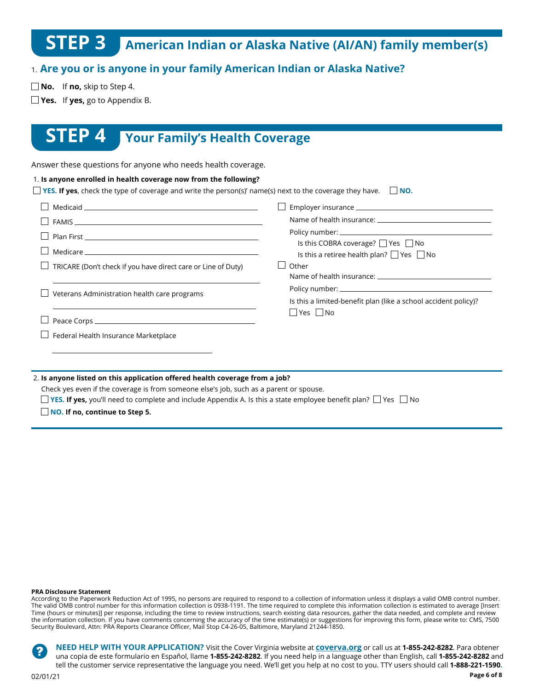# **STEP 3 American Indian or Alaska Native (AI/AN) family member(s)**

## 1. **Are you or is anyone in your family American Indian or Alaska Native?**

 $\Box$  **No.** If **no**, skip to Step 4.

**Yes.** If **yes,** go to Appendix B.

## **STEP 4 Your Family's Health Coverage**

Answer these questions for anyone who needs health coverage.

|                                                                      | Is this COBRA coverage? $\Box$ Yes $\Box$ No                    |
|----------------------------------------------------------------------|-----------------------------------------------------------------|
|                                                                      | Is this a retiree health plan? $\Box$ Yes $\Box$ No             |
| $\Box$ TRICARE (Don't check if you have direct care or Line of Duty) | Other                                                           |
| Veterans Administration health care programs                         | Is this a limited-benefit plan (like a school accident policy)? |
|                                                                      | $\Box$ Yes $\Box$ No                                            |
| Federal Health Insurance Marketplace                                 |                                                                 |

#### 2. **Is anyone listed on this application offered health coverage from a job?**

Check yes even if the coverage is from someone else's job, such as a parent or spouse.

**YES. If yes,** you'll need to complete and include Appendix A. Is this a state employee benefit plan?  $\Box$  Yes  $\Box$  No

**NO. If no, continue to Step 5.**

#### **PRA Disclosure Statement**

According to the Paperwork Reduction Act of 1995, no persons are required to respond to a collection of information unless it displays a valid OMB control number. The valid OMB control number for this information collection is 0938-1191. The time required to complete this information collection is estimated to average [Insert Time (hours or minutes)] per response, including the time to review instructions, search existing data resources, gather the data needed, and complete and review the information collection. If you have comments concerning the accuracy of the time estimate(s) or suggestions for improving this form, please write to: CMS, 7500 Security Boulevard, Attn: PRA Reports Clearance Officer, Mail Stop C4-26-05, Baltimore, Maryland 21244-1850.

**NEED HELP WITH YOUR APPLICATION?** Visit the Cover Virginia website at **coverva.org** or call us at **1-855-242-8282**. Para obtener ? una copia de este formulario en Español, llame **1-855-242-8282**. If you need help in a language other than English, call **1-855-242-8282** and tell the customer service representative the language you need. We'll get you help at no cost to you. TTY users should call **1-888-221-1590.**

02/01/21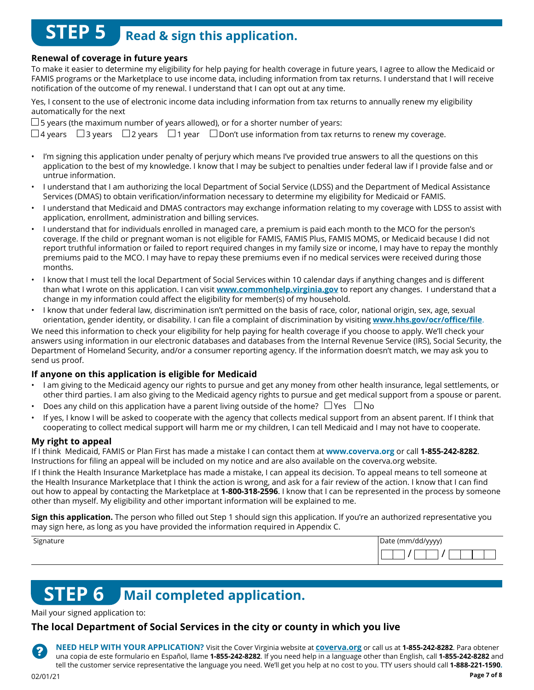# **STEP 5** Read & sign this application.

#### **Renewal of coverage in future years**

To make it easier to determine my eligibility for help paying for health coverage in future years, I agree to allow the Medicaid or FAMIS programs or the Marketplace to use income data, including information from tax returns. I understand that I will receive notification of the outcome of my renewal. I understand that I can opt out at any time.

Yes, I consent to the use of electronic income data including information from tax returns to annually renew my eligibility automatically for the next

 $\square$  5 years (the maximum number of years allowed), or for a shorter number of years:

 $\Box$ 4 years  $\Box$ 3 years  $\Box$ 2 years  $\Box$ 1 year  $\Box$  Don't use information from tax returns to renew my coverage.

- I'm signing this application under penalty of perjury which means I've provided true answers to all the questions on this application to the best of my knowledge. I know that I may be subject to penalties under federal law if I provide false and or untrue information.
- I understand that I am authorizing the local Department of Social Service (LDSS) and the Department of Medical Assistance Services (DMAS) to obtain verification/information necessary to determine my eligibility for Medicaid or FAMIS.
- I understand that Medicaid and DMAS contractors may exchange information relating to my coverage with LDSS to assist with application, enrollment, administration and billing services.
- I understand that for individuals enrolled in managed care, a premium is paid each month to the MCO for the person's coverage. If the child or pregnant woman is not eligible for FAMIS, FAMIS Plus, FAMIS MOMS, or Medicaid because I did not report truthful information or failed to report required changes in my family size or income, I may have to repay the monthly premiums paid to the MCO. I may have to repay these premiums even if no medical services were received during those months.
- I know that I must tell the local Department of Social Services within 10 calendar days if anything changes and is different than what I wrote on this application. I can visit **www.commonhelp.virginia.gov** to report any changes. I understand that a change in my information could affect the eligibility for member(s) of my household.
- I know that under federal law, discrimination isn't permitted on the basis of race, color, national origin, sex, age, sexual orientation, gender identity, or disability. I can file a complaint of discrimination by visiting **www.hhs.gov/ocr/office/file**.

We need this information to check your eligibility for help paying for health coverage if you choose to apply. We'll check your answers using information in our electronic databases and databases from the Internal Revenue Service (IRS), Social Security, the Department of Homeland Security, and/or a consumer reporting agency. If the information doesn't match, we may ask you to send us proof.

#### **If anyone on this application is eligible for Medicaid**

- I am giving to the Medicaid agency our rights to pursue and get any money from other health insurance, legal settlements, or other third parties. I am also giving to the Medicaid agency rights to pursue and get medical support from a spouse or parent.
- Does any child on this application have a parent living outside of the home?  $\Box$  Yes  $\Box$  No
- If yes, I know I will be asked to cooperate with the agency that collects medical support from an absent parent. If I think that cooperating to collect medical support will harm me or my children, I can tell Medicaid and I may not have to cooperate.

#### **My right to appeal**

If I think Medicaid, FAMIS or Plan First has made a mistake I can contact them at **www.coverva.org** or call **1-855-242-8282**. Instructions for filing an appeal will be included on my notice and are also available on the coverva.org website.

If I think the Health Insurance Marketplace has made a mistake, I can appeal its decision. To appeal means to tell someone at the Health Insurance Marketplace that I think the action is wrong, and ask for a fair review of the action. I know that I can find out how to appeal by contacting the Marketplace at **1-800-318-2596**. I know that I can be represented in the process by someone other than myself. My eligibility and other important information will be explained to me.

**Sign this application.** The person who filled out Step 1 should sign this application. If you're an authorized representative you may sign here, as long as you have provided the information required in Appendix C.

| Signature | Date (mm/dd/yyyy) |
|-----------|-------------------|
|           |                   |

# **STEP 6 Mail completed application.**

Mail your signed application to:

#### **The local Department of Social Services in the city or county in which you live**

**NEED HELP WITH YOUR APPLICATION?** Visit the Cover Virginia website at **coverva.org** or call us at **1-855-242-8282**. Para obtener una copia de este formulario en Español, llame **1-855-242-8282**. If you need help in a language other than English, call **1-855-242-8282** and tell the customer service representative the language you need. We'll get you help at no cost to you. TTY users should call **1-888-221-1590.**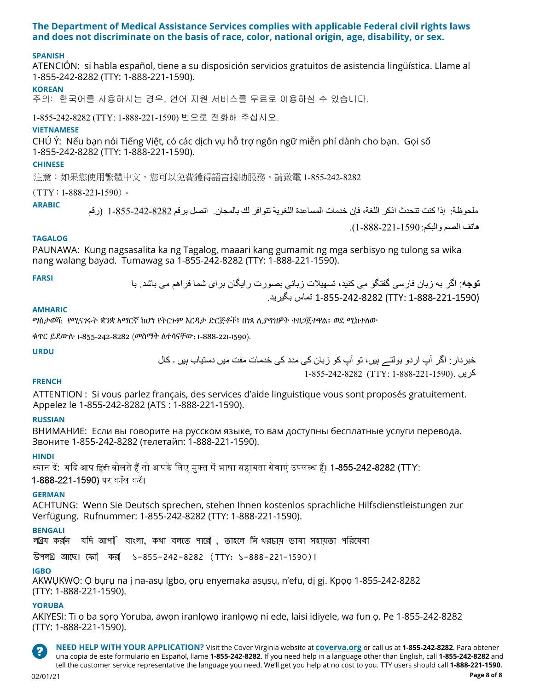#### **The Department of Medical Assistance Services complies with applicable Federal civil rights laws and does not discriminate on the basis of race, color, national origin, age, disability, or sex.**

#### **SPANISH**

ATENCIÓN: si habla español, tiene a su disposición servicios gratuitos de asistencia lingüística. Llame al 1-855-242-8282 (TTY: 1-888-221-1590).

#### **KOREAN**

*㨰㢌aGG䚐ạ㛨⪰G㇠㟝䚌㐐⏈Gᷱ㟤SG㛬㛨G㫴㠄G㉐⽸㏘⪰Gⱨ⨀⦐G㢨㟝䚌㐘G㍌G㢼㏩⏼␘UGG*

1-855-242-8282 (TTY: 1-888-221-1590) 번으로 전화해 주십시오.

#### **VIETNAMESE**

CHÚ Ý: Nếu bạn nói Tiếng Việt, có các dịch vụ hỗ trợ ngôn ngữ miễn phí dành cho bạn. Gọi số 1-855-242-8282 (TTY: 1-888-221-1590).

#### **CHINESE**

*㲐シ烉⤪㝄ぐἧ䓐䷩橼ᷕ㔯炻ぐ⎗ẍ屣䌚⼿婆妨㎜≑㚵⊁ˤ婳农暣* 1-855-242-8282

 $(TTY : 1-888-221-1590)$  ∘

**ARABIC**

ملحوظة: إذا كنت تتحدث اذكر اللغة، فإن خدمات المساعدة اللغوية تتوافر لك بالمجان. اتصل برقم 1-855-242-8282 (رقم هاتف الصم والبكم: 1-888-221-1590).

#### **TAGALOG**

PAUNAWA: Kung nagsasalita ka ng Tagalog, maaari kang gumamit ng mga serbisyo ng tulong sa wika nang walang bayad. Tumawag sa 1-855-242-8282 (TTY: 1-888-221-1590).

**توجه**: اگر به زبان فارسی گفتگو می کنيد، تسهيلات زبانی بصورت رايگان برای شما فراهم می باشد. با **FARSI** (1-888-221-1590 :TTY (1-855-242-8282 تماس بگيريد.

#### **AMHARIC**

ማስታወሻ: የሚናገሩት ቋንቋ ኣማርኛ ከሆነ የትርጉም እርዳታ ድርጅቶች፣ በነጻ ሊያግዝዎት ተዘጋጀተዋል፡ ወደ ሚከተለው

ቁጥር ይደውሉ 1-855-242-8282 (መስማት ለተሳናቸው: 1-888-221-1590).

#### **URDU**

خبردار: اگر آپ اردو بولتے ہيں، تو آپ کو زبان کی مدد کی خدمات مفت ميں دستياب ہيں ۔ کال کريں .(1-888-221-1590 :TTY (1-855-242-8282

#### **FRENCH**

ATTENTION : Si vous parlez français, des services d'aide linguistique vous sont proposés gratuitement. Appelez le 1-855-242-8282 (ATS : 1-888-221-1590).

#### **RUSSIAN**

ВНИМАНИЕ: Если вы говорите на русском языке, то вам доступны бесплатные услуги перевода. Звоните 1-855-242-8282 (телетайп: 1-888-221-1590).

#### **HINDI**

ध्यान दें: यदि आप हिंदी बोलते हैं तो आपके लिए मुफ्त में भाषा सहायता सेवाएं उपलब्ध हैं। 1-855-242-8282 (TTY: 1-888-221-1590) पर कॉल करें।

#### **GERMAN**

ACHTUNG: Wenn Sie Deutsch sprechen, stehen Ihnen kostenlos sprachliche Hilfsdienstleistungen zur Verfügung. Rufnummer: 1-855-242-8282 (TTY: 1-888-221-1590).

#### **BENGALI**

ল য করল যদি আপ**ি বাংলা, কথা বলতে পারোঁ , তাহলে লি** থরচায় ভাষা সহায়তা পরিষেবা

উপল আেছ। েফা কর ১-855-242-8282 (TTY: ১-888-221-1590)।

#### **IGBO**

AKWỤKWỌ: Ọ bụrụ na ị na-asụ Igbo, ọrụ enyemaka asụsụ, n'efu, dị gị. Kpọọ 1-855-242-8282 (TTY: 1-888-221-1590).

#### **YORUBA**

AKIYESI: Ti o ba sọrọ Yoruba, awọn iranlọwọ iranlọwọ ni ede, laisi idiyele, wa fun ọ. Pe 1-855-242-8282 (TTY: 1-888-221-1590).



**NEED HELP WITH YOUR APPLICATION?** Visit the Cover Virginia website at **coverva.org** or call us at **1-855-242-8282**. Para obtener una copia de este formulario en Español, llame **1-855-242-8282**. If you need help in a language other than English, call **1-855-242-8282** and tell the customer service representative the language you need. We'll get you help at no cost to you. TTY users should call **1-888-221-1590.**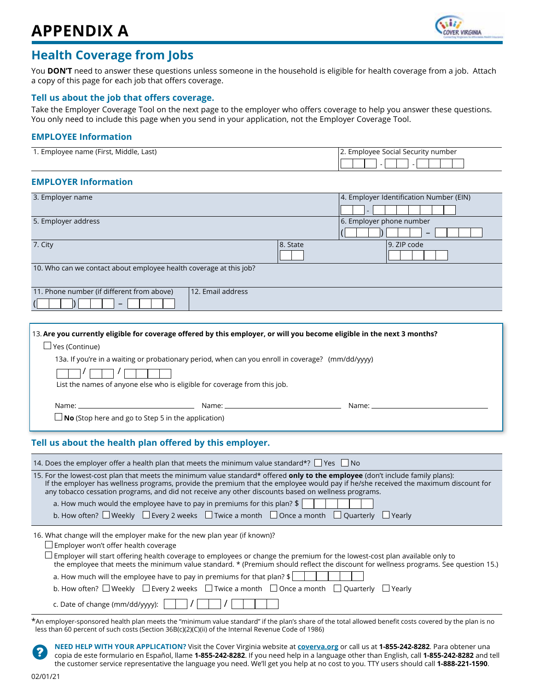

## **Health Coverage from Jobs**

You **DON'T** need to answer these questions unless someone in the household is eligible for health coverage from a job. Attach a copy of this page for each job that offers coverage.

#### **Tell us about the job that offers coverage.**

Take the Employer Coverage Tool on the next page to the employer who offers coverage to help you answer these questions. You only need to include this page when you send in your application, not the Employer Coverage Tool.

#### **EMPLOYEE Information**

| 1. Employee name (First, Middle, Last) | 2. Employee Social Security number |  |
|----------------------------------------|------------------------------------|--|
|                                        |                                    |  |

#### **EMPLOYER Information**

| 3. Employer name                                                   |          | 4. Employer Identification Number (EIN) |
|--------------------------------------------------------------------|----------|-----------------------------------------|
|                                                                    |          |                                         |
| 5. Employer address                                                |          | 6. Employer phone number                |
|                                                                    |          | -                                       |
| 7. City                                                            | 8. State | 9. ZIP code                             |
|                                                                    |          |                                         |
| 10. Who can we contact about employee health coverage at this job? |          |                                         |
|                                                                    |          |                                         |
| 12. Email address<br>11. Phone number (if different from above)    |          |                                         |
| -                                                                  |          |                                         |
|                                                                    |          |                                         |

|                                                                                                                                                                                                                                |                                                                                                                                                                                                                                | 13. Are you currently eligible for coverage offered by this employer, or will you become eligible in the next 3 months?                                                                                                        |
|--------------------------------------------------------------------------------------------------------------------------------------------------------------------------------------------------------------------------------|--------------------------------------------------------------------------------------------------------------------------------------------------------------------------------------------------------------------------------|--------------------------------------------------------------------------------------------------------------------------------------------------------------------------------------------------------------------------------|
| $\Box$ Yes (Continue)                                                                                                                                                                                                          |                                                                                                                                                                                                                                |                                                                                                                                                                                                                                |
|                                                                                                                                                                                                                                | 13a. If you're in a waiting or probationary period, when can you enroll in coverage? (mm/dd/yyyy)                                                                                                                              |                                                                                                                                                                                                                                |
|                                                                                                                                                                                                                                |                                                                                                                                                                                                                                |                                                                                                                                                                                                                                |
|                                                                                                                                                                                                                                | List the names of anyone else who is eligible for coverage from this job.                                                                                                                                                      |                                                                                                                                                                                                                                |
| Name: when the contract of the contract of the contract of the contract of the contract of the contract of the contract of the contract of the contract of the contract of the contract of the contract of the contract of the | Name: when the contract of the contract of the contract of the contract of the contract of the contract of the contract of the contract of the contract of the contract of the contract of the contract of the contract of the | Name: when the contract of the contract of the contract of the contract of the contract of the contract of the contract of the contract of the contract of the contract of the contract of the contract of the contract of the |
|                                                                                                                                                                                                                                | $\Box$ No (Stop here and go to Step 5 in the application)                                                                                                                                                                      |                                                                                                                                                                                                                                |
|                                                                                                                                                                                                                                |                                                                                                                                                                                                                                |                                                                                                                                                                                                                                |

#### **Tell us about the health plan offered by this employer.**

| 14. Does the employer offer a health plan that meets the minimum value standard*? $\Box$ Yes $\Box$ No                                                                                                                                                                                                                                                                             |
|------------------------------------------------------------------------------------------------------------------------------------------------------------------------------------------------------------------------------------------------------------------------------------------------------------------------------------------------------------------------------------|
| 15. For the lowest-cost plan that meets the minimum value standard* offered <b>only to the employee</b> (don't include family plans):<br>If the employer has wellness programs, provide the premium that the employee would pay if he/she received the maximum discount for<br>any tobacco cessation programs, and did not receive any other discounts based on wellness programs. |
| a. How much would the employee have to pay in premiums for this plan? $\frac{1}{2}$                                                                                                                                                                                                                                                                                                |
| b. How often? $\square$ Weekly $\square$ Every 2 weeks $\square$ Twice a month $\square$ Once a month $\square$ Quarterly $\square$ Yearly                                                                                                                                                                                                                                         |
| 16. What change will the employer make for the new plan year (if known)?                                                                                                                                                                                                                                                                                                           |
| $\Box$ Employer won't offer health coverage                                                                                                                                                                                                                                                                                                                                        |
| $\Box$ Employer will start offering health coverage to employees or change the premium for the lowest-cost plan available only to<br>the employee that meets the minimum value standard. * (Premium should reflect the discount for wellness programs. See question 15.)                                                                                                           |
| a. How much will the employee have to pay in premiums for that plan? $\frac{1}{2}$                                                                                                                                                                                                                                                                                                 |
| b. How often? $\Box$ Weekly $\Box$ Every 2 weeks $\Box$ Twice a month $\Box$ Once a month $\Box$ Quarterly $\Box$ Yearly                                                                                                                                                                                                                                                           |
| c. Date of change (mm/dd/yyyy):                                                                                                                                                                                                                                                                                                                                                    |
| $*$ Ap ample versions or a booth plan meets the "minimum value standard" if the plan's share of the test allowed benefit sects severed by the plan is no                                                                                                                                                                                                                           |

An employer-sponsored health plan meets the "minimum value standard" if the plan's share of the total allowed benefit costs covered by the plan is no less than 60 percent of such costs (Section 36B(c)(2)(C)(ii) of the Internal Revenue Code of 1986)

**NEED HELP WITH YOUR APPLICATION?** Visit the Cover Virginia website at **coverva.org** or call us at **1-855-242-8282**. Para obtener una 7 copia de este formulario en Español, llame **1-855-242-8282**. If you need help in a language other than English, call **1-855-242-8282** and tell the customer service representative the language you need. We'll get you help at no cost to you. TTY users should call **1-888-221-1590**.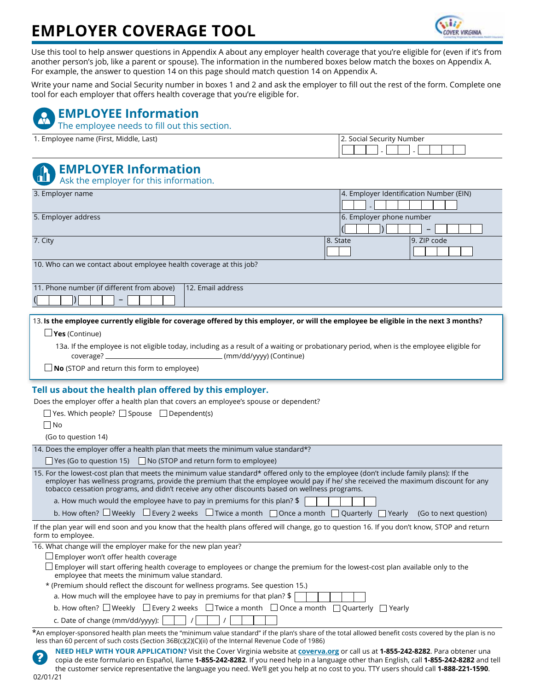# **EMPLOYER COVERAGE TOOL**



- -

Ī

Use this tool to help answer questions in Appendix A about any employer health coverage that you're eligible for (even if it's from another person's job, like a parent or spouse). The information in the numbered boxes below match the boxes on Appendix A. For example, the answer to question 14 on this page should match question 14 on Appendix A.

Write your name and Social Security number in boxes 1 and 2 and ask the employer to fill out the rest of the form. Complete one tool for each employer that offers health coverage that you're eligible for.

# **EMPLOYEE Information**

The employee needs to fill out this section.

1. Employee name (First, Middle, Last) 2. Social Security Number

# **EMPLOYER Information**

Ask the employer for this information.

| 3. Employer name                                                                                                                     |                          | $ 4$ . Employer Identification Number (EIN) |
|--------------------------------------------------------------------------------------------------------------------------------------|--------------------------|---------------------------------------------|
| 5. Employer address                                                                                                                  | 6. Employer phone number |                                             |
|                                                                                                                                      |                          |                                             |
| 7. City                                                                                                                              | 8. State                 | 9. ZIP code                                 |
|                                                                                                                                      |                          |                                             |
| 10. Who can we contact about employee health coverage at this job?                                                                   |                          |                                             |
| 12. Email address<br>11. Phone number (if different from above)                                                                      |                          |                                             |
|                                                                                                                                      |                          |                                             |
|                                                                                                                                      |                          |                                             |
| 13. Is the employee currently eligible for coverage offered by this employer, or will the employee be eligible in the next 3 months? |                          |                                             |

**Yes** (Continue)

13a. If the employee is not eligible today, including as a result of a waiting or probationary period, when is the employee eligible for coverage? (mm/dd/yyyy) (Continue)

**No** (STOP and return this form to employee)

#### **Tell us about the health plan offered by this employer.**

Does the employer offer a health plan that covers an employee's spouse or dependent?

| Yes. Which people? $\Box$ Spouse $\Box$ Dependent(s)                                                                                                                                                                                                                                                                                                                        |
|-----------------------------------------------------------------------------------------------------------------------------------------------------------------------------------------------------------------------------------------------------------------------------------------------------------------------------------------------------------------------------|
| $\Box$ No                                                                                                                                                                                                                                                                                                                                                                   |
| (Go to question 14)                                                                                                                                                                                                                                                                                                                                                         |
| 14. Does the employer offer a health plan that meets the minimum value standard*?                                                                                                                                                                                                                                                                                           |
| $\Box$ Yes (Go to question 15) $\Box$ No (STOP and return form to employee)                                                                                                                                                                                                                                                                                                 |
| 15. For the lowest-cost plan that meets the minimum value standard* offered only to the employee (don't include family plans): If the<br>employer has wellness programs, provide the premium that the employee would pay if he/ she received the maximum discount for any<br>tobacco cessation programs, and didn't receive any other discounts based on wellness programs. |
| a. How much would the employee have to pay in premiums for this plan? \$                                                                                                                                                                                                                                                                                                    |
| b. How often? $\Box$ Weekly $\Box$ Every 2 weeks $\Box$ Twice a month $\Box$ Once a month $\Box$ Quarterly $\Box$ Yearly (Go to next question)                                                                                                                                                                                                                              |
| If the plan year will end soon and you know that the health plans offered will change, go to question 16. If you don't know, STOP and return<br>form to employee.                                                                                                                                                                                                           |
| 16. What change will the employer make for the new plan year?                                                                                                                                                                                                                                                                                                               |
| $\Box$ Employer won't offer health coverage                                                                                                                                                                                                                                                                                                                                 |
| $\Box$ Employer will start offering health coverage to employees or change the premium for the lowest-cost plan available only to the<br>employee that meets the minimum value standard.                                                                                                                                                                                    |
| * (Premium should reflect the discount for wellness programs. See question 15.)                                                                                                                                                                                                                                                                                             |
| a. How much will the employee have to pay in premiums for that plan? $\frac{1}{2}$                                                                                                                                                                                                                                                                                          |
| b. How often? $\square$ Weekly $\;\square$ Every 2 weeks $\;\square$ Twice a month $\;\square$ Once a month $\;\square$ Quarterly $\;\square$ Yearly                                                                                                                                                                                                                        |
| c. Date of change (mm/dd/yyyy):                                                                                                                                                                                                                                                                                                                                             |
| *An employer-sponsored health plan meets the "minimum value standard" if the plan's share of the total allowed benefit costs covered by the plan is no<br>less than 60 percent of such costs (Section 36B(c)(2)(C)(ii) of the Internal Revenue Code of 1986)                                                                                                                |

**NEED HELP WITH YOUR APPLICATION?** Visit the Cover Virginia website at **coverva.org** or call us at **1-855-242-8282**. Para obtener una copia de este formulario en Español, llame **1-855-242-8282**. If you need help in a language other than English, call **1-855-242-8282** and tell the customer service representative the language you need. We'll get you help at no cost to you. TTY users should call **1-888-221-1590**. 02/01/21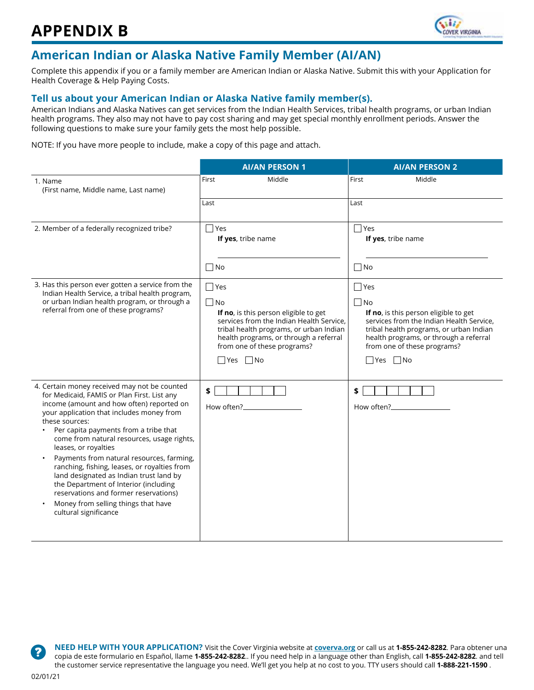

## **American Indian or Alaska Native Family Member (AI/AN)**

Complete this appendix if you or a family member are American Indian or Alaska Native. Submit this with your Application for Health Coverage & Help Paying Costs.

#### **Tell us about your American Indian or Alaska Native family member(s).**

American Indians and Alaska Natives can get services from the Indian Health Services, tribal health programs, or urban Indian health programs. They also may not have to pay cost sharing and may get special monthly enrollment periods. Answer the following questions to make sure your family gets the most help possible.

NOTE: If you have more people to include, make a copy of this page and attach.

|                                                                                                                                                                                                                                                                                                                                                                                                                                                                                                                                                                                                                  | <b>AI/AN PERSON 1</b>                                                                                                                                                                                                                          | <b>AI/AN PERSON 2</b>                         |  |  |
|------------------------------------------------------------------------------------------------------------------------------------------------------------------------------------------------------------------------------------------------------------------------------------------------------------------------------------------------------------------------------------------------------------------------------------------------------------------------------------------------------------------------------------------------------------------------------------------------------------------|------------------------------------------------------------------------------------------------------------------------------------------------------------------------------------------------------------------------------------------------|-----------------------------------------------|--|--|
| 1. Name<br>(First name, Middle name, Last name)                                                                                                                                                                                                                                                                                                                                                                                                                                                                                                                                                                  | Middle<br>First                                                                                                                                                                                                                                | Middle<br>First                               |  |  |
|                                                                                                                                                                                                                                                                                                                                                                                                                                                                                                                                                                                                                  | Last                                                                                                                                                                                                                                           | Last                                          |  |  |
| 2. Member of a federally recognized tribe?                                                                                                                                                                                                                                                                                                                                                                                                                                                                                                                                                                       | $\Box$ Yes<br>If yes, tribe name<br>$\sqcap$ No                                                                                                                                                                                                | $\Box$ Yes<br>If yes, tribe name<br>$\Box$ No |  |  |
| 3. Has this person ever gotten a service from the<br>Indian Health Service, a tribal health program,<br>or urban Indian health program, or through a<br>referral from one of these programs?                                                                                                                                                                                                                                                                                                                                                                                                                     | $\Box$ Yes<br>$\Box$ No<br>If no, is this person eligible to get<br>services from the Indian Health Service.<br>tribal health programs, or urban Indian<br>health programs, or through a referral<br>from one of these programs?<br>□ Yes □ No |                                               |  |  |
| 4. Certain money received may not be counted<br>for Medicaid, FAMIS or Plan First. List any<br>income (amount and how often) reported on<br>your application that includes money from<br>these sources:<br>Per capita payments from a tribe that<br>come from natural resources, usage rights,<br>leases, or royalties<br>Payments from natural resources, farming,<br>ranching, fishing, leases, or royalties from<br>land designated as Indian trust land by<br>the Department of Interior (including<br>reservations and former reservations)<br>Money from selling things that have<br>cultural significance | \$<br>How often?                                                                                                                                                                                                                               | \$<br>How often?                              |  |  |

**NEED HELP WITH YOUR APPLICATION?** Visit the Cover Virginia website at **coverva.org** or call us at **1-855-242-8282**. Para obtener una copia de este formulario en Español, llame **1-855-242-8282**.. If you need help in a language other than English, call **1-855-242-8282**. and tell the customer service representative the language you need. We'll get you help at no cost to you. TTY users should call **1-888-221-1590** .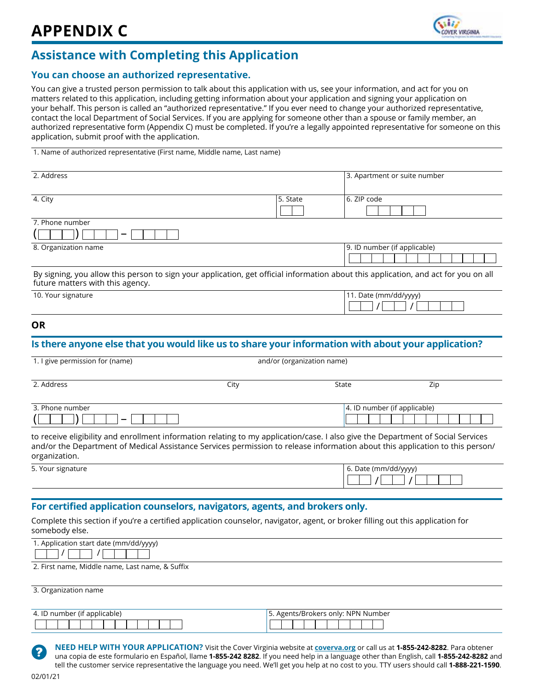

## **Assistance with Completing this Application**

#### **You can choose an authorized representative.**

You can give a trusted person permission to talk about this application with us, see your information, and act for you on matters related to this application, including getting information about your application and signing your application on your behalf. This person is called an "authorized representative." If you ever need to change your authorized representative, contact the local Department of Social Services. If you are applying for someone other than a spouse or family member, an authorized representative form (Appendix C) must be completed. If you're a legally appointed representative for someone on this application, submit proof with the application.

1. Name of authorized representative (First name, Middle name, Last name)

| 2. Address                                                                                                                                                              |          | 3. Apartment or suite number |
|-------------------------------------------------------------------------------------------------------------------------------------------------------------------------|----------|------------------------------|
|                                                                                                                                                                         |          |                              |
| 4. City                                                                                                                                                                 | 5. State | 6. ZIP code                  |
|                                                                                                                                                                         |          |                              |
| 7. Phone number                                                                                                                                                         |          |                              |
|                                                                                                                                                                         |          |                              |
| 8. Organization name                                                                                                                                                    |          | 9. ID number (if applicable) |
|                                                                                                                                                                         |          |                              |
| By signing, you allow this person to sign your application, get official information about this application, and act for you on all<br>future matters with this agency. |          |                              |

| __                 |                      |
|--------------------|----------------------|
| 10. Your signature | (mm/dd/yyyy)<br>Date |
|                    |                      |

#### **OR**

### **Is there anyone else that you would like us to share your information with about your application?**

| State                        | Zip |
|------------------------------|-----|
| 4. ID number (if applicable) |     |
|                              |     |

to receive eligibility and enrollment information relating to my application/case. I also give the Department of Social Services and/or the Department of Medical Assistance Services permission to release information about this application to this person/ organization.

| 5. Your signature | 6. Date (mm/dd/yyyy) |
|-------------------|----------------------|
|                   |                      |
|                   |                      |

#### **For certified application counselors, navigators, agents, and brokers only.**

Complete this section if you're a certified application counselor, navigator, agent, or broker filling out this application for somebody else.

| 1. Application start date (mm/dd/yyyy) |  |  |  |
|----------------------------------------|--|--|--|
|                                        |  |  |  |

2. First name, Middle name, Last name, & Suffix

3. Organization name

| ` number (if applicable) | Agents/Brokers only: NPN Number |  |  |  |  |  |
|--------------------------|---------------------------------|--|--|--|--|--|
|                          |                                 |  |  |  |  |  |



**NEED HELP WITH YOUR APPLICATION?** Visit the Cover Virginia website at **coverva.org** or call us at **1-855-242-8282**. Para obtener una copia de este formulario en Español, llame **1-855-242 8282**. If you need help in a language other than English, call **1-855-242-8282** and tell the customer service representative the language you need. We'll get you help at no cost to you. TTY users should call **1-888-221-1590**.